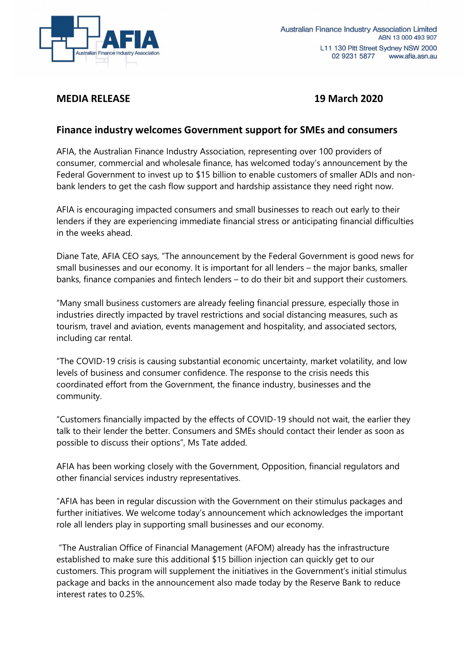

## **MEDIA RELEASE 19 March 2020**

## **Finance industry welcomes Government support for SMEs and consumers**

AFIA, the Australian Finance Industry Association, representing over 100 providers of consumer, commercial and wholesale finance, has welcomed today's announcement by the Federal Government to invest up to \$15 billion to enable customers of smaller ADIs and nonbank lenders to get the cash flow support and hardship assistance they need right now.

AFIA is encouraging impacted consumers and small businesses to reach out early to their lenders if they are experiencing immediate financial stress or anticipating financial difficulties in the weeks ahead.

Diane Tate, AFIA CEO says, "The announcement by the Federal Government is good news for small businesses and our economy. It is important for all lenders – the major banks, smaller banks, finance companies and fintech lenders – to do their bit and support their customers.

"Many small business customers are already feeling financial pressure, especially those in industries directly impacted by travel restrictions and social distancing measures, such as tourism, travel and aviation, events management and hospitality, and associated sectors, including car rental.

"The COVID-19 crisis is causing substantial economic uncertainty, market volatility, and low levels of business and consumer confidence. The response to the crisis needs this coordinated effort from the Government, the finance industry, businesses and the community.

"Customers financially impacted by the effects of COVID-19 should not wait, the earlier they talk to their lender the better. Consumers and SMEs should contact their lender as soon as possible to discuss their options", Ms Tate added.

AFIA has been working closely with the Government, Opposition, financial regulators and other financial services industry representatives.

"AFIA has been in regular discussion with the Government on their stimulus packages and further initiatives. We welcome today's announcement which acknowledges the important role all lenders play in supporting small businesses and our economy.

"The Australian Office of Financial Management (AFOM) already has the infrastructure established to make sure this additional \$15 billion injection can quickly get to our customers. This program will supplement the initiatives in the Government's initial stimulus package and backs in the announcement also made today by the Reserve Bank to reduce interest rates to 0.25%.